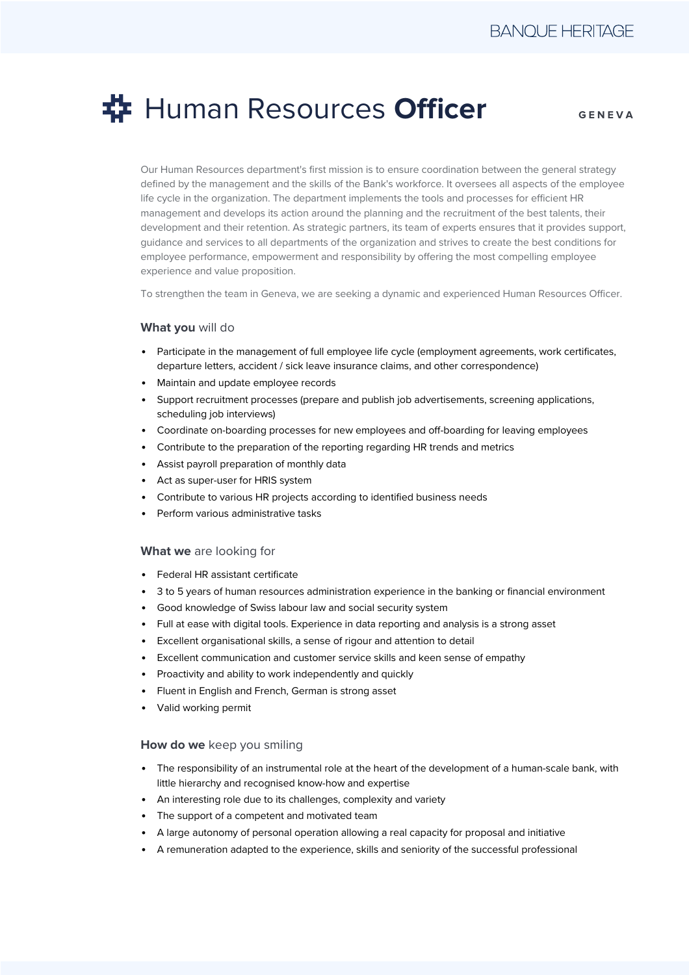# Human Resources **Officer**

**GENEVA**

Our Human Resources department's first mission is to ensure coordination between the general strategy defined by the management and the skills of the Bank's workforce. It oversees all aspects of the employee life cycle in the organization. The department implements the tools and processes for efficient HR management and develops its action around the planning and the recruitment of the best talents, their development and their retention. As strategic partners, its team of experts ensures that it provides support, guidance and services to all departments of the organization and strives to create the best conditions for employee performance, empowerment and responsibility by offering the most compelling employee experience and value proposition.

To strengthen the team in Geneva, we are seeking a dynamic and experienced Human Resources Officer.

### **What you** will do

- Participate in the management of full employee life cycle (employment agreements, work certificates, departure letters, accident / sick leave insurance claims, and other correspondence)
- Maintain and update employee records
- Support recruitment processes (prepare and publish job advertisements, screening applications, scheduling job interviews)
- Coordinate on-boarding processes for new employees and off-boarding for leaving employees
- Contribute to the preparation of the reporting regarding HR trends and metrics
- Assist payroll preparation of monthly data
- Act as super-user for HRIS system
- Contribute to various HR projects according to identified business needs
- Perform various administrative tasks

#### **What we** are looking for

- Federal HR assistant certificate
- 3 to 5 years of human resources administration experience in the banking or financial environment
- Good knowledge of Swiss labour law and social security system
- Full at ease with digital tools. Experience in data reporting and analysis is a strong asset
- Excellent organisational skills, a sense of rigour and attention to detail
- Excellent communication and customer service skills and keen sense of empathy
- Proactivity and ability to work independently and quickly
- Fluent in English and French, German is strong asset
- Valid working permit

#### **How do we** keep you smiling

- The responsibility of an instrumental role at the heart of the development of a human-scale bank, with little hierarchy and recognised know-how and expertise
- An interesting role due to its challenges, complexity and variety
- The support of a competent and motivated team
- A large autonomy of personal operation allowing a real capacity for proposal and initiative
- A remuneration adapted to the experience, skills and seniority of the successful professional